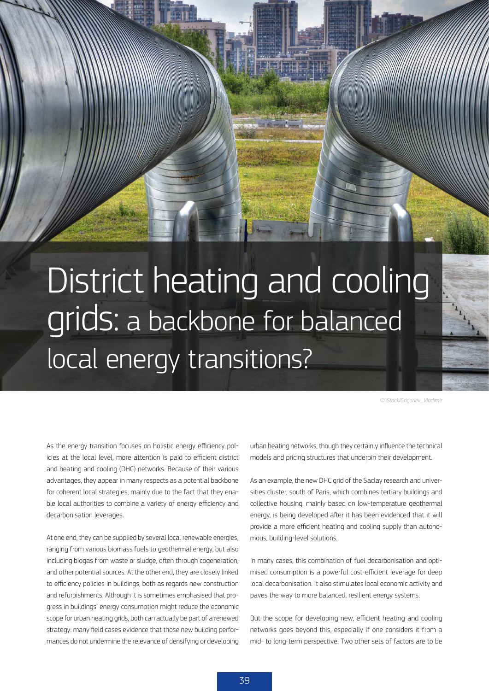## District heating and cooling grids: a backbone for balanced local energy transitions?

SETIS MAGAZINE JUNE 2016 - Low-carbon Heating & Cooling & Cooling & Cooling & Cooling & Cooling & Cooling & Co

*© iStock/Grigoriev\_Vladimir*

As the energy transition focuses on holistic energy efficiency policies at the local level, more attention is paid to efficient district and heating and cooling (DHC) networks. Because of their various advantages, they appear in many respects as a potential backbone for coherent local strategies, mainly due to the fact that they enable local authorities to combine a variety of energy efficiency and decarbonisation leverages.

At one end, they can be supplied by several local renewable energies, ranging from various biomass fuels to geothermal energy, but also including biogas from waste or sludge, often through cogeneration, and other potential sources. At the other end, they are closely linked to efficiency policies in buildings, both as regards new construction and refurbishments. Although it is sometimes emphasised that progress in buildings' energy consumption might reduce the economic scope for urban heating grids, both can actually be part of a renewed strategy: many field cases evidence that those new building performances do not undermine the relevance of densifying or developing

urban heating networks, though they certainly influence the technical models and pricing structures that underpin their development.

As an example, the new DHC grid of the Saclay research and universities cluster, south of Paris, which combines tertiary buildings and collective housing, mainly based on low-temperature geothermal energy, is being developed after it has been evidenced that it will provide a more efficient heating and cooling supply than autonomous, building-level solutions.

In many cases, this combination of fuel decarbonisation and optimised consumption is a powerful cost-efficient leverage for deep local decarbonisation. It also stimulates local economic activity and paves the way to more balanced, resilient energy systems.

But the scope for developing new, efficient heating and cooling networks goes beyond this, especially if one considers it from a mid- to long-term perspective. Two other sets of factors are to be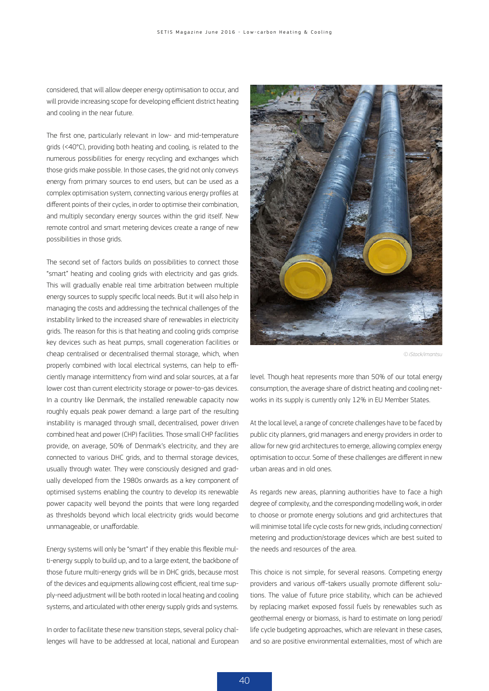considered, that will allow deeper energy optimisation to occur, and will provide increasing scope for developing efficient district heating and cooling in the near future.

The first one, particularly relevant in low- and mid-temperature grids (<40°C), providing both heating and cooling, is related to the numerous possibilities for energy recycling and exchanges which those grids make possible. In those cases, the grid not only conveys energy from primary sources to end users, but can be used as a complex optimisation system, connecting various energy profiles at different points of their cycles, in order to optimise their combination, and multiply secondary energy sources within the grid itself. New remote control and smart metering devices create a range of new possibilities in those grids.

The second set of factors builds on possibilities to connect those "smart" heating and cooling grids with electricity and gas grids. This will gradually enable real time arbitration between multiple energy sources to supply specific local needs. But it will also help in managing the costs and addressing the technical challenges of the instability linked to the increased share of renewables in electricity grids. The reason for this is that heating and cooling grids comprise key devices such as heat pumps, small cogeneration facilities or cheap centralised or decentralised thermal storage, which, when properly combined with local electrical systems, can help to efficiently manage intermittency from wind and solar sources, at a far lower cost than current electricity storage or power-to-gas devices. In a country like Denmark, the installed renewable capacity now roughly equals peak power demand: a large part of the resulting instability is managed through small, decentralised, power driven combined heat and power (CHP) facilities. Those small CHP facilities provide, on average, 50% of Denmark's electricity, and they are connected to various DHC grids, and to thermal storage devices, usually through water. They were consciously designed and gradually developed from the 1980s onwards as a key component of optimised systems enabling the country to develop its renewable power capacity well beyond the points that were long regarded as thresholds beyond which local electricity grids would become unmanageable, or unaffordable.

Energy systems will only be "smart" if they enable this flexible multi-energy supply to build up, and to a large extent, the backbone of those future multi-energy grids will be in DHC grids, because most of the devices and equipments allowing cost efficient, real time supply-need adjustment will be both rooted in local heating and cooling systems, and articulated with other energy supply grids and systems.

In order to facilitate these new transition steps, several policy challenges will have to be addressed at local, national and European



*© iStock/imantsu*

level. Though heat represents more than 50% of our total energy consumption, the average share of district heating and cooling networks in its supply is currently only 12% in EU Member States.

At the local level, a range of concrete challenges have to be faced by public city planners, grid managers and energy providers in order to allow for new grid architectures to emerge, allowing complex energy optimisation to occur. Some of these challenges are different in new urban areas and in old ones.

As regards new areas, planning authorities have to face a high degree of complexity, and the corresponding modelling work, in order to choose or promote energy solutions and grid architectures that will minimise total life cycle costs for new grids, including connection/ metering and production/storage devices which are best suited to the needs and resources of the area.

This choice is not simple, for several reasons. Competing energy providers and various off-takers usually promote different solutions. The value of future price stability, which can be achieved by replacing market exposed fossil fuels by renewables such as geothermal energy or biomass, is hard to estimate on long period/ life cycle budgeting approaches, which are relevant in these cases, and so are positive environmental externalities, most of which are